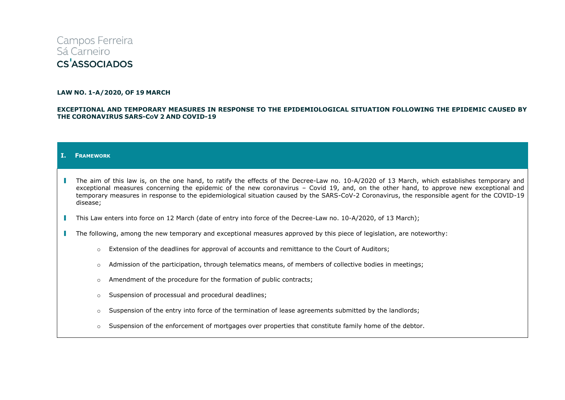# Campos Ferreira Sá Carneiro **CS<sup>'</sup>ASSOCIADOS**

#### **LAW NO. 1-A/2020, OF 19 MARCH**

## **EXCEPTIONAL AND TEMPORARY MEASURES IN RESPONSE TO THE EPIDEMIOLOGICAL SITUATION FOLLOWING THE EPIDEMIC CAUSED BY THE CORONAVIRUS SARS-COV 2 AND COVID-19**

### **I. FRAMEWORK**

- The aim of this law is, on the one hand, to ratify the effects of the Decree-Law no. 10-A/2020 of 13 March, which establishes temporary and exceptional measures concerning the epidemic of the new coronavirus – Covid 19, and, on the other hand, to approve new exceptional and temporary measures in response to the epidemiological situation caused by the SARS-CoV-2 Coronavirus, the responsible agent for the COVID-19 disease;
- This Law enters into force on 12 March (date of entry into force of the Decree-Law no. 10-A/2020, of 13 March);  $\mathbb{R}^n$
- The following, among the new temporary and exceptional measures approved by this piece of legislation, are noteworthy:
	- o Extension of the deadlines for approval of accounts and remittance to the Court of Auditors;
	- o Admission of the participation, through telematics means, of members of collective bodies in meetings;
	- $\circ$  Amendment of the procedure for the formation of public contracts;
	- o Suspension of processual and procedural deadlines;
	- $\circ$  Suspension of the entry into force of the termination of lease agreements submitted by the landlords;
	- $\circ$  Suspension of the enforcement of mortgages over properties that constitute family home of the debtor.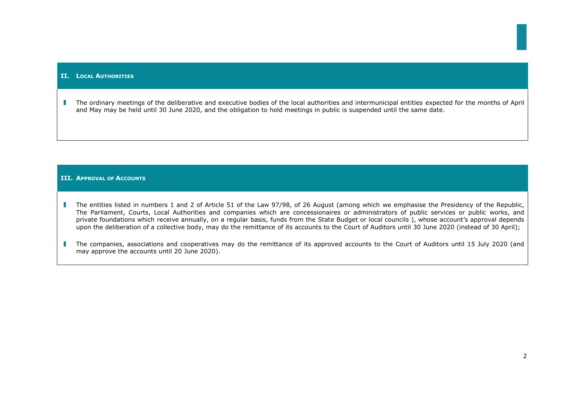## **II. LOCAL AUTHORITIES**

The ordinary meetings of the deliberative and executive bodies of the local authorities and intermunicipal entities expected for the months of April T and May may be held until 30 June 2020, and the obligation to hold meetings in public is suspended until the same date.

# **III. APPROVAL OF ACCOUNTS**

- The entities listed in numbers 1 and 2 of Article 51 of the Law 97/98, of 26 August (among which we emphasise the Presidency of the Republic, a ka The Parliament, Courts, Local Authorities and companies which are concessionaires or administrators of public services or public works, and private foundations which receive annually, on a regular basis, funds from the State Budget or local councils ), whose account's approval depends upon the deliberation of a collective body, may do the remittance of its accounts to the Court of Auditors until 30 June 2020 (instead of 30 April);
- The companies, associations and cooperatives may do the remittance of its approved accounts to the Court of Auditors until 15 July 2020 (and a T may approve the accounts until 20 June 2020).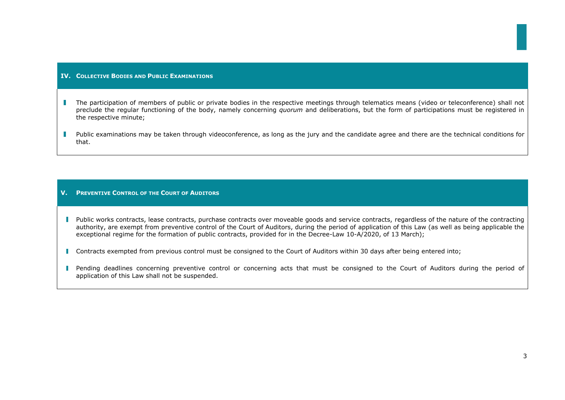# **IV. COLLECTIVE BODIES AND PUBLIC EXAMINATIONS**

- The participation of members of public or private bodies in the respective meetings through telematics means (video or teleconference) shall not preclude the regular functioning of the body, namely concerning *quorum* and deliberations, but the form of participations must be registered in the respective minute;
- Public examinations may be taken through videoconference, as long as the jury and the candidate agree and there are the technical conditions for that.

# **V. PREVENTIVE CONTROL OF THE COURT OF AUDITORS**

- Public works contracts, lease contracts, purchase contracts over moveable goods and service contracts, regardless of the nature of the contracting authority, are exempt from preventive control of the Court of Auditors, during the period of application of this Law (as well as being applicable the exceptional regime for the formation of public contracts, provided for in the Decree-Law 10-A/2020, of 13 March);
- **Contracts exempted from previous control must be consigned to the Court of Auditors within 30 days after being entered into;**
- **Pending deadlines concerning preventive control or concerning acts that must be consigned to the Court of Auditors during the period of** application of this Law shall not be suspended.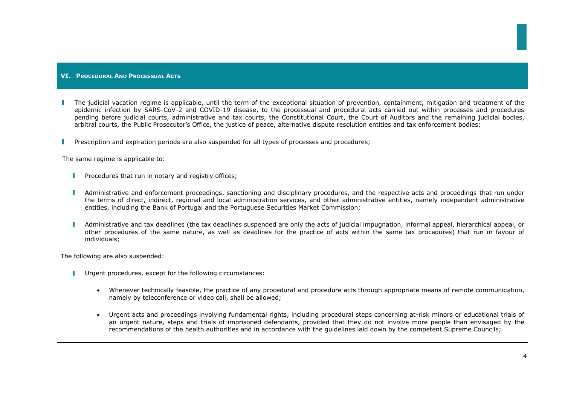## **VI. PROCEDURAL AND PROCESSUAL ACTS**

**I** The judicial vacation regime is applicable, until the term of the exceptional situation of prevention, containment, mitigation and treatment of the epidemic infection by SARS-CoV-2 and COVID-19 disease, to the processual and procedural acts carried out within processes and procedures pending before judicial courts, administrative and tax courts, the Constitutional Court, the Court of Auditors and the remaining judicial bodies, arbitral courts, the Public Prosecutor's Office, the justice of peace, alternative dispute resolution entities and tax enforcement bodies;

Prescription and expiration periods are also suspended for all types of processes and procedures;

The same regime is applicable to:

- $\mathbb{R}^n$ Procedures that run in notary and registry offices;
- T. Administrative and enforcement proceedings, sanctioning and disciplinary procedures, and the respective acts and proceedings that run under the terms of direct, indirect, regional and local administration services, and other administrative entities, namely independent administrative entities, including the Bank of Portugal and the Portuguese Securities Market Commission;
- П Administrative and tax deadlines (the tax deadlines suspended are only the acts of judicial impugnation, informal appeal, hierarchical appeal, or other procedures of the same nature, as well as deadlines for the practice of acts within the same tax procedures) that run in favour of individuals;

The following are also suspended:

- **Urgent procedures, except for the following circumstances:** 
	- Whenever technically feasible, the practice of any procedural and procedure acts through appropriate means of remote communication, namely by teleconference or video call, shall be allowed;
	- Urgent acts and proceedings involving fundamental rights, including procedural steps concerning at-risk minors or educational trials of an urgent nature, steps and trials of imprisoned defendants, provided that they do not involve more people than envisaged by the recommendations of the health authorities and in accordance with the guidelines laid down by the competent Supreme Councils;